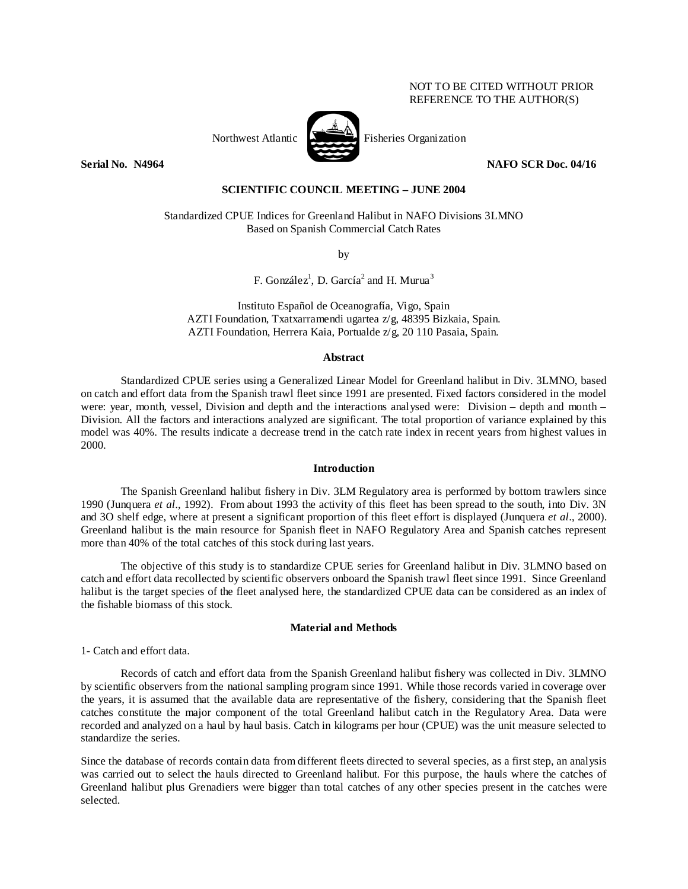# NOT TO BE CITED WITHOUT PRIOR REFERENCE TO THE AUTHOR(S)



Northwest Atlantic Fisheries Organization

**Serial No. 20064** NAFO SCR Doc. 04/16 **NAFO SCR Doc. 04/16** 

### **SCIENTIFIC COUNCIL MEETING – JUNE 2004**

Standardized CPUE Indices for Greenland Halibut in NAFO Divisions 3LMNO Based on Spanish Commercial Catch Rates

by

F. González<sup>1</sup>, D. García<sup>2</sup> and H. Murua<sup>3</sup>

Instituto Español de Oceanografía, Vigo, Spain AZTI Foundation, Txatxarramendi ugartea z/g, 48395 Bizkaia, Spain. AZTI Foundation, Herrera Kaia, Portualde z/g, 20 110 Pasaia, Spain.

### **Abstract**

Standardized CPUE series using a Generalized Linear Model for Greenland halibut in Div. 3LMNO, based on catch and effort data from the Spanish trawl fleet since 1991 are presented. Fixed factors considered in the model were: year, month, vessel, Division and depth and the interactions analysed were: Division – depth and month – Division. All the factors and interactions analyzed are significant. The total proportion of variance explained by this model was 40%. The results indicate a decrease trend in the catch rate index in recent years from highest values in 2000.

## **Introduction**

The Spanish Greenland halibut fishery in Div. 3LM Regulatory area is performed by bottom trawlers since 1990 (Junquera *et al*., 1992). From about 1993 the activity of this fleet has been spread to the south, into Div. 3N and 3O shelf edge, where at present a significant proportion of this fleet effort is displayed (Junquera *et al*., 2000). Greenland halibut is the main resource for Spanish fleet in NAFO Regulatory Area and Spanish catches represent more than 40% of the total catches of this stock during last years.

 The objective of this study is to standardize CPUE series for Greenland halibut in Div. 3LMNO based on catch and effort data recollected by scientific observers onboard the Spanish trawl fleet since 1991. Since Greenland halibut is the target species of the fleet analysed here, the standardized CPUE data can be considered as an index of the fishable biomass of this stock.

## **Material and Methods**

1- Catch and effort data.

 Records of catch and effort data from the Spanish Greenland halibut fishery was collected in Div. 3LMNO by scientific observers from the national sampling program since 1991. While those records varied in coverage over the years, it is assumed that the available data are representative of the fishery, considering that the Spanish fleet catches constitute the major component of the total Greenland halibut catch in the Regulatory Area. Data were recorded and analyzed on a haul by haul basis. Catch in kilograms per hour (CPUE) was the unit measure selected to standardize the series.

Since the database of records contain data from different fleets directed to several species, as a first step, an analysis was carried out to select the hauls directed to Greenland halibut. For this purpose, the hauls where the catches of Greenland halibut plus Grenadiers were bigger than total catches of any other species present in the catches were selected.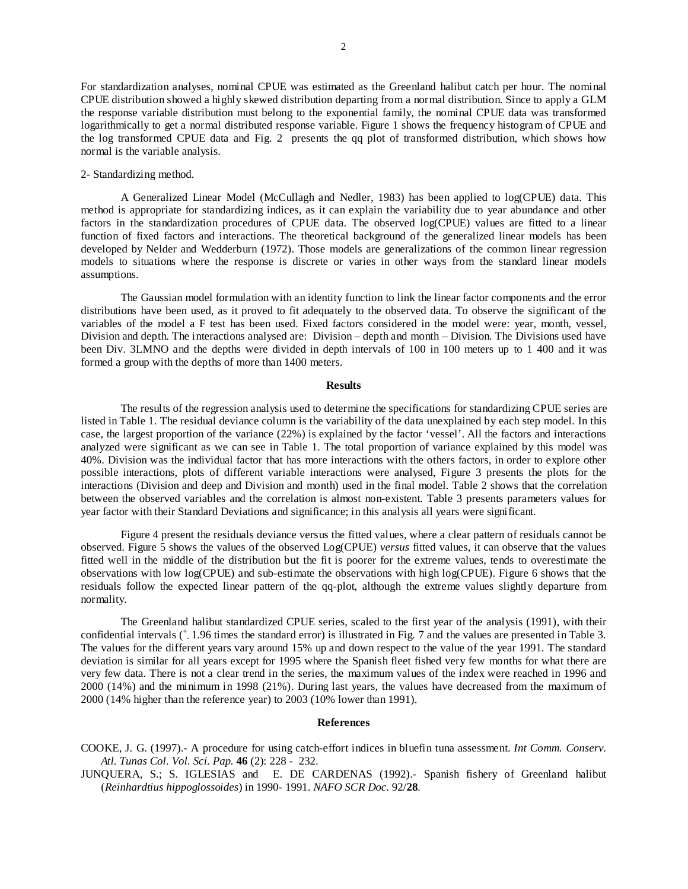For standardization analyses, nominal CPUE was estimated as the Greenland halibut catch per hour. The nominal CPUE distribution showed a highly skewed distribution departing from a normal distribution. Since to apply a GLM the response variable distribution must belong to the exponential family, the nominal CPUE data was transformed logarithmically to get a normal distributed response variable. Figure 1 shows the frequency histogram of CPUE and the log transformed CPUE data and Fig. 2 presents the qq plot of transformed distribution, which shows how normal is the variable analysis.

#### 2- Standardizing method.

A Generalized Linear Model (McCullagh and Nedler, 1983) has been applied to log(CPUE) data. This method is appropriate for standardizing indices, as it can explain the variability due to year abundance and other factors in the standardization procedures of CPUE data. The observed log(CPUE) values are fitted to a linear function of fixed factors and interactions. The theoretical background of the generalized linear models has been developed by Nelder and Wedderburn (1972). Those models are generalizations of the common linear regression models to situations where the response is discrete or varies in other ways from the standard linear models assumptions.

The Gaussian model formulation with an identity function to link the linear factor components and the error distributions have been used, as it proved to fit adequately to the observed data. To observe the significant of the variables of the model a F test has been used. Fixed factors considered in the model were: year, month, vessel, Division and depth. The interactions analysed are: Division – depth and month – Division. The Divisions used have been Div. 3LMNO and the depths were divided in depth intervals of 100 in 100 meters up to 1 400 and it was formed a group with the depths of more than 1400 meters.

#### **Results**

The results of the regression analysis used to determine the specifications for standardizing CPUE series are listed in Table 1. The residual deviance column is the variability of the data unexplained by each step model. In this case, the largest proportion of the variance (22%) is explained by the factor 'vessel'. All the factors and interactions analyzed were significant as we can see in Table 1. The total proportion of variance explained by this model was 40%. Division was the individual factor that has more interactions with the others factors, in order to explore other possible interactions, plots of different variable interactions were analysed, Figure 3 presents the plots for the interactions (Division and deep and Division and month) used in the final model. Table 2 shows that the correlation between the observed variables and the correlation is almost non-existent. Table 3 presents parameters values for year factor with their Standard Deviations and significance; in this analysis all years were significant.

Figure 4 present the residuals deviance versus the fitted values, where a clear pattern of residuals cannot be observed. Figure 5 shows the values of the observed Log(CPUE) *versus* fitted values, it can observe that the values fitted well in the middle of the distribution but the fit is poorer for the extreme values, tends to overestimate the observations with low log(CPUE) and sub-estimate the observations with high log(CPUE). Figure 6 shows that the residuals follow the expected linear pattern of the qq-plot, although the extreme values slightly departure from normality.

 The Greenland halibut standardized CPUE series, scaled to the first year of the analysis (1991), with their confidential intervals ( $\pm$  1.96 times the standard error) is illustrated in Fig. 7 and the values are presented in Table 3. The values for the different years vary around 15% up and down respect to the value of the year 1991. The standard deviation is similar for all years except for 1995 where the Spanish fleet fished very few months for what there are very few data. There is not a clear trend in the series, the maximum values of the index were reached in 1996 and 2000 (14%) and the minimum in 1998 (21%). During last years, the values have decreased from the maximum of 2000 (14% higher than the reference year) to 2003 (10% lower than 1991).

#### **References**

COOKE, J. G. (1997).- A procedure for using catch-effort indices in bluefin tuna assessment. *Int Comm. Conserv. Atl. Tunas Col. Vol. Sci. Pap.* **46** (2): 228 - 232.

JUNQUERA, S.; S. IGLESIAS and E. DE CARDENAS (1992).- Spanish fishery of Greenland halibut (*Reinhardtius hippoglossoides*) in 1990- 1991. *NAFO SCR Doc.* 92/**28***.*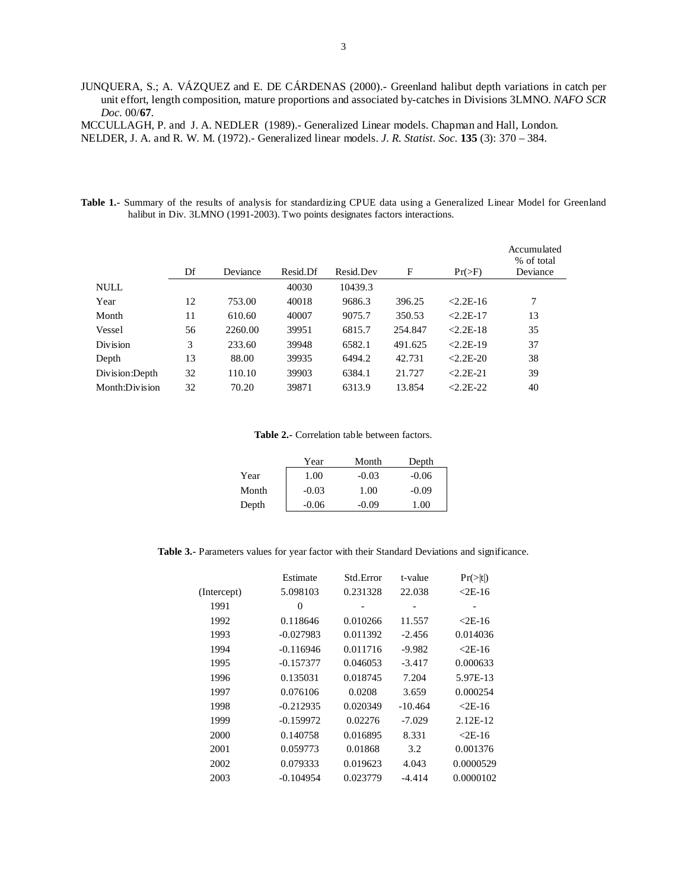JUNQUERA, S.; A. VÁZQUEZ and E. DE CÁRDENAS (2000).- Greenland halibut depth variations in catch per unit effort, length composition, mature proportions and associated by-catches in Divisions 3LMNO. *NAFO SCR Doc.* 00/**67**.

MCCULLAGH, P. and J. A. NEDLER (1989).- Generalized Linear models. Chapman and Hall, London.

NELDER, J. A. and R. W. M. (1972).- Generalized linear models. *J. R. Statist. Soc.* **135** (3): 370 – 384.

**Table 1.-** Summary of the results of analysis for standardizing CPUE data using a Generalized Linear Model for Greenland halibut in Div. 3LMNO (1991-2003). Two points designates factors interactions.

|                |    |          |          |           |         |               | Accumulated<br>% of total |
|----------------|----|----------|----------|-----------|---------|---------------|---------------------------|
|                | Df | Deviance | Resid.Df | Resid.Dev | F       | $Pr(>\)$      | Deviance                  |
| <b>NULL</b>    |    |          | 40030    | 10439.3   |         |               |                           |
| Year           | 12 | 753.00   | 40018    | 9686.3    | 396.25  | $2.2E-16$     | 7                         |
| Month          | 11 | 610.60   | 40007    | 9075.7    | 350.53  | $2.2E-17$     | 13                        |
| Vessel         | 56 | 2260.00  | 39951    | 6815.7    | 254.847 | $< 2.2E - 18$ | 35                        |
| Division       | 3  | 233.60   | 39948    | 6582.1    | 491.625 | $2.2E-19$     | 37                        |
| Depth          | 13 | 88.00    | 39935    | 6494.2    | 42.731  | $< 2.2E - 20$ | 38                        |
| Division:Depth | 32 | 110.10   | 39903    | 6384.1    | 21.727  | $< 2.2E - 21$ | 39                        |
| Month:Division | 32 | 70.20    | 39871    | 6313.9    | 13.854  | $2.2E-22$     | 40                        |

#### **Table 2.-** Correlation table between factors.

|       | Year    | Month   | Depth   |
|-------|---------|---------|---------|
| Year  | 1.00    | $-0.03$ | $-0.06$ |
| Month | $-0.03$ | 1.00    | $-0.09$ |
| Depth | $-0.06$ | $-0.09$ | 1.00    |

**Table 3.-** Parameters values for year factor with their Standard Deviations and significance.

|             | Estimate    | Std.Error | t-value   | $Pr(>\vert t \vert)$ |
|-------------|-------------|-----------|-----------|----------------------|
| (Intercept) | 5.098103    | 0.231328  | 22.038    | $2E-16$              |
| 1991        | $\theta$    |           |           |                      |
| 1992        | 0.118646    | 0.010266  | 11.557    | $2E-16$              |
| 1993        | $-0.027983$ | 0.011392  | $-2.456$  | 0.014036             |
| 1994        | $-0.116946$ | 0.011716  | $-9.982$  | $2E-16$              |
| 1995        | $-0.157377$ | 0.046053  | $-3.417$  | 0.000633             |
| 1996        | 0.135031    | 0.018745  | 7.204     | 5.97E-13             |
| 1997        | 0.076106    | 0.0208    | 3.659     | 0.000254             |
| 1998        | $-0.212935$ | 0.020349  | $-10.464$ | $\leq$ 2E-16         |
| 1999        | $-0.159972$ | 0.02276   | $-7.029$  | 2.12E-12             |
| 2000        | 0.140758    | 0.016895  | 8.331     | $2E-16$              |
| 2001        | 0.059773    | 0.01868   | 3.2       | 0.001376             |
| 2002        | 0.079333    | 0.019623  | 4.043     | 0.0000529            |
| 2003        | $-0.104954$ | 0.023779  | $-4.414$  | 0.0000102            |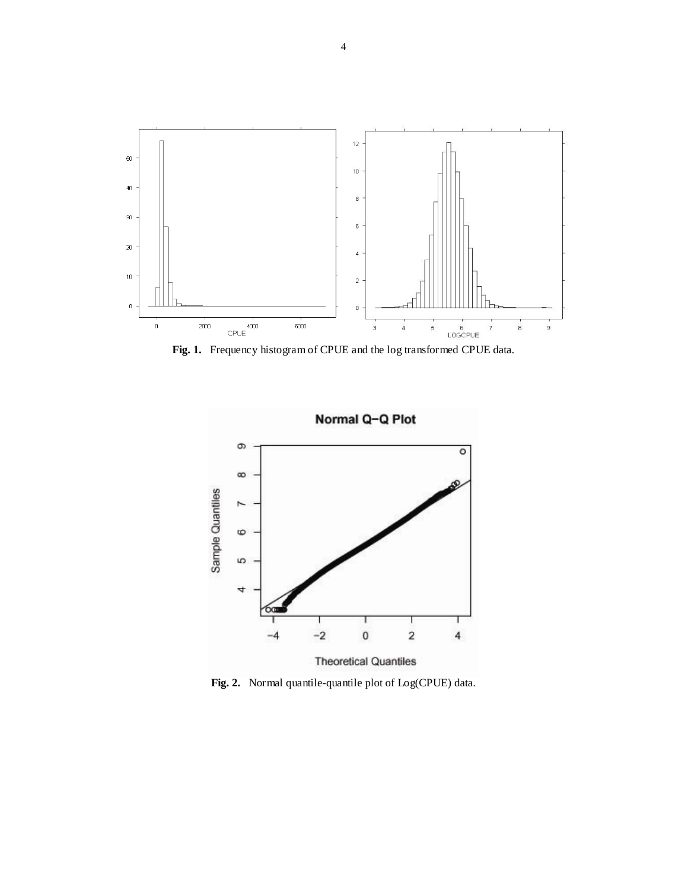

**Fig. 1.** Frequency histogram of CPUE and the log transformed CPUE data.



**Fig. 2.** Normal quantile-quantile plot of Log(CPUE) data.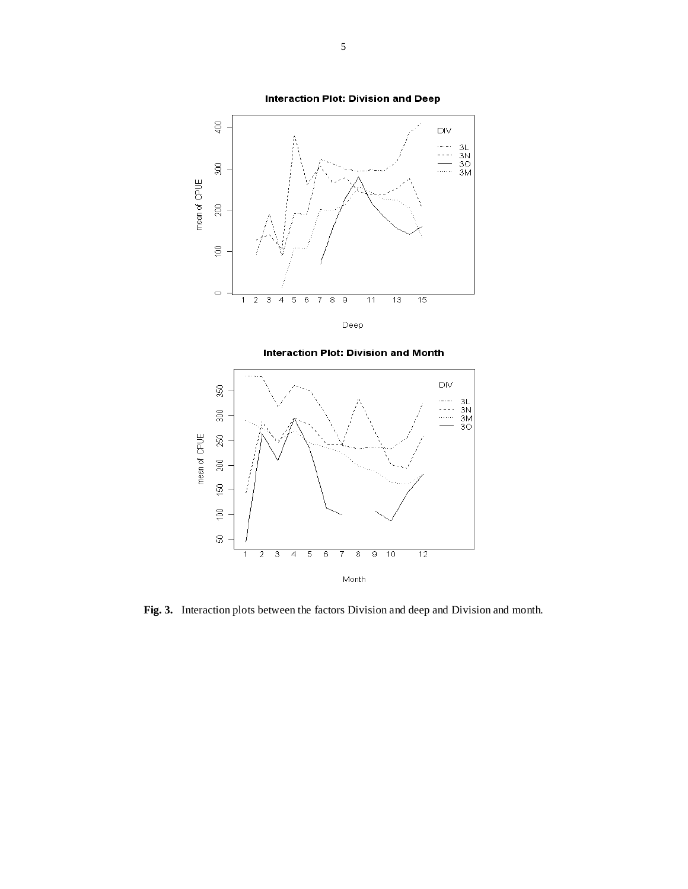





**Fig. 3.** Interaction plots between the factors Division and deep and Division and month.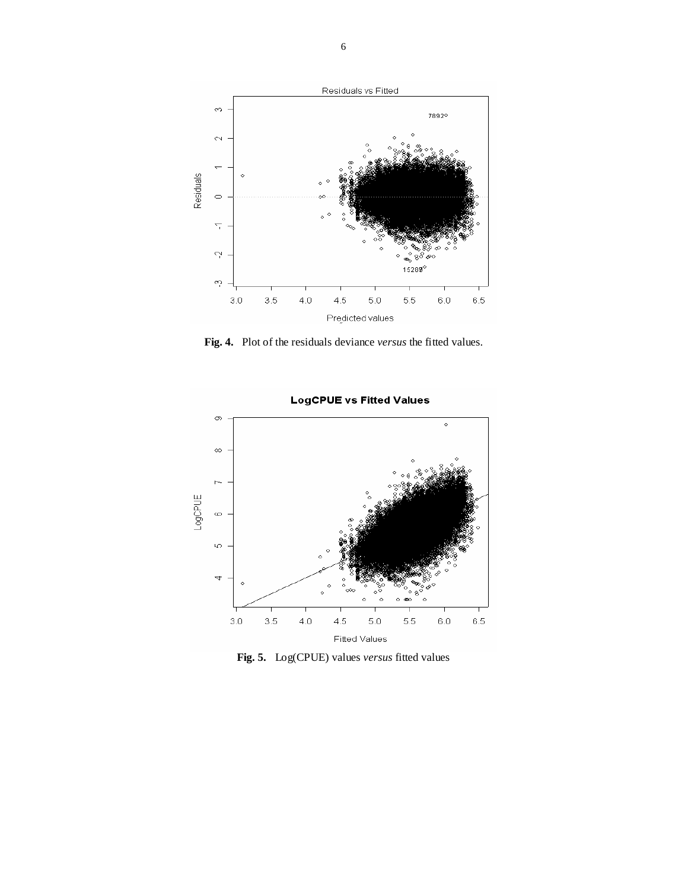

**Fig. 4.** Plot of the residuals deviance *versus* the fitted values.



**Fig. 5.** Log(CPUE) values *versus* fitted values